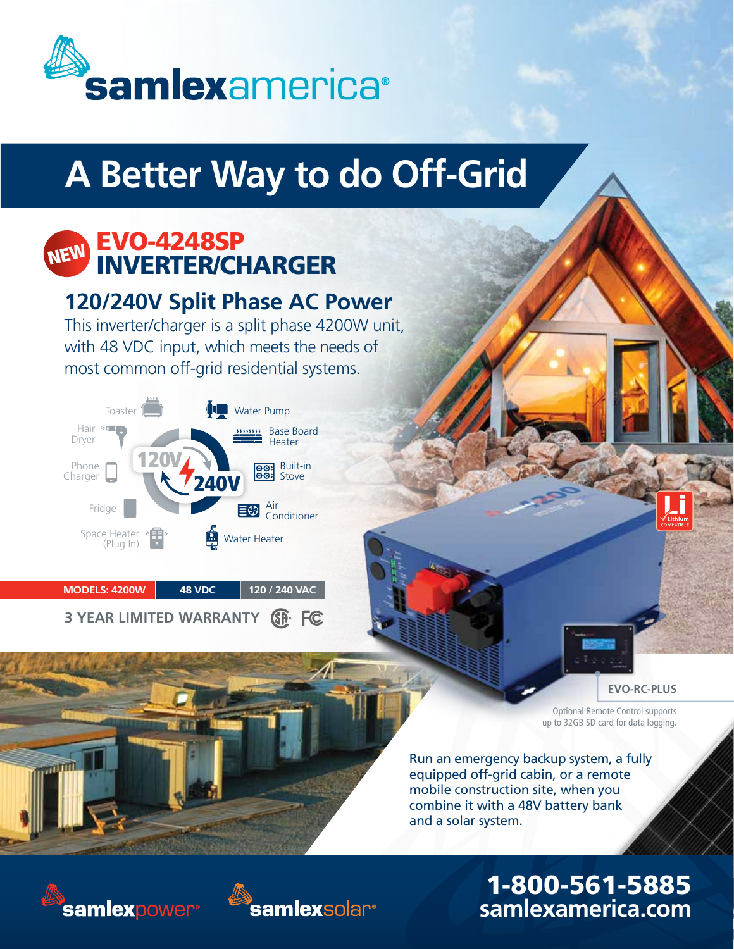

# **A Better Way to do Off-Grid**

#### EVO-4248SP **IERTER/CHARGER NEW**

### **120/240V Split Phase AC Power**

This inverter/charger is a split phase 4200W unit, with 48 VDC input, which meets the needs of most common off-grid residential systems.



 **MODELS: 4200W 48 VDC 120 / 240 VAC**

| 3 YEAR LIMITED WARRANTY <b>SD</b> . FC |  |  |
|----------------------------------------|--|--|
|----------------------------------------|--|--|

#### **EVO-RC-PLUS**

Optional Remote Control supports up to 32GB SD card for data logging.

Run an emergency backup system, a fully equipped off-grid cabin, or a remote mobile construction site, when you combine it with a 48V battery bank and a solar system.

## 1-800-561-5885 **samlexamerica.com**